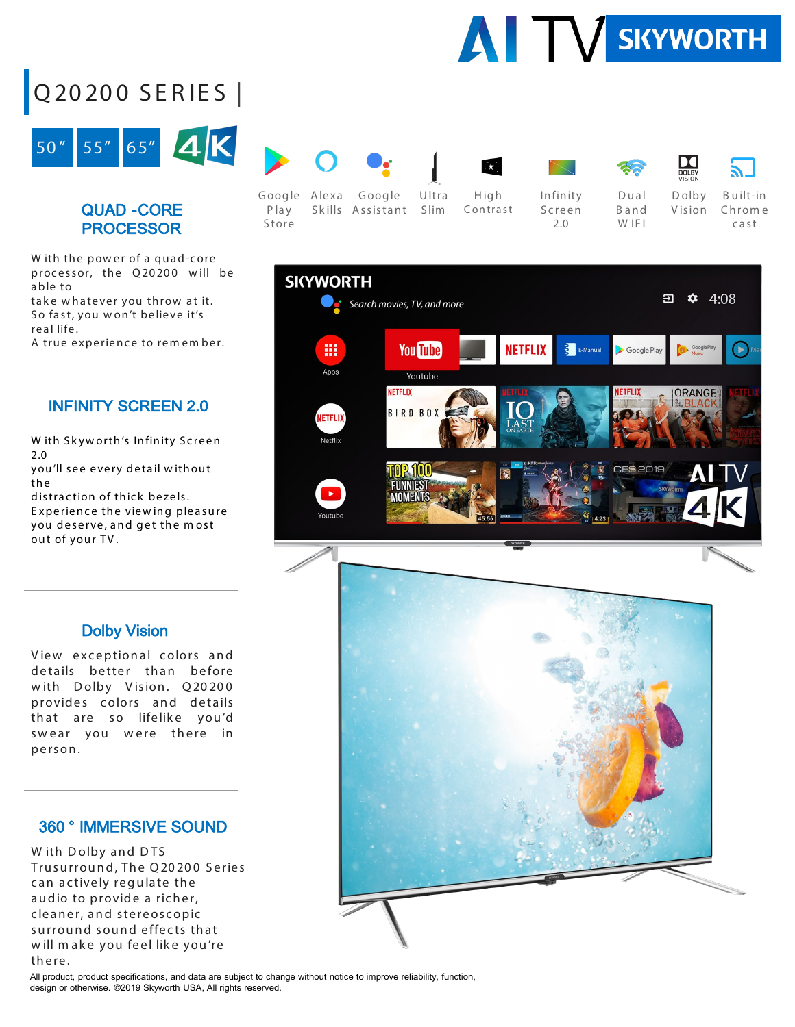

# Q20200 SER IES |



### QUAD -CORE PROCESSOR

W ith the power of a quad-core processor, the Q20200 will be able to

take whatever you throw at it. So fast, you won't believe it's real life .

A true experience to rem em ber.

### INFINITY SCREEN 2.0

W ith Skyworth's Infinity Screen 2.0

you'll see every detail w ithout the

distraction of thick bezels. E xperience the view ing pleasure you deserve, and get the m ost out of your TV.



Google Alexa Google P lay Store Sk ills Assistant Slim Ultra

High Contrast





Dual Band W IF<sub>I</sub>



Infinity Screen 2.0

Dolby V ision

DC

B uilt-in Chrom e cast



#### Dolby Vision

View exceptional colors and details better than before with Dolby Vision. Q20200 provides colors and details that are so lifelike you'd swear you were there in person.

#### 360 ° IMMERSIVE SOUND

W ith Dolby and DTS Trusurround, The Q20200 Series can actively regulate the audio to provide a richer, cleaner, and stereoscopic surround sound effects that will make you feel like you're there.

All product, product specifications, and data are subject to change without notice to improve reliability, function, design or otherwise. ©2019 Skyworth USA, All rights reserved.